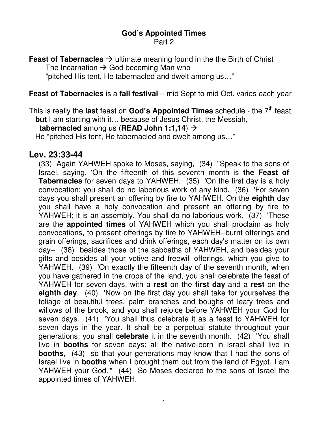# **God's Appointed Times**

Part 2

**Feast of Tabernacles**  $\rightarrow$  ultimate meaning found in the the Birth of Christ The Incarnation  $\rightarrow$  God becoming Man who "pitched His tent, He tabernacled and dwelt among us…"

#### **Feast of Tabernacles** is a **fall festival** – mid Sept to mid Oct. varies each year

This is really the last feast on God's Appointed Times schedule - the 7<sup>th</sup> feast **but** I am starting with it… because of Jesus Christ, the Messiah,

**tabernacled** among us (**READ John 1:1,14**)

He "pitched His tent, He tabernacled and dwelt among us…"

### **Lev. 23:33-44**

(33) Again YAHWEH spoke to Moses, saying, (34) "Speak to the sons of Israel, saying, 'On the fifteenth of this seventh month is **the Feast of Tabernacles** for seven days to YAHWEH. (35) 'On the first day is a holy convocation; you shall do no laborious work of any kind. (36) 'For seven days you shall present an offering by fire to YAHWEH. On the **eighth** day you shall have a holy convocation and present an offering by fire to YAHWEH; it is an assembly. You shall do no laborious work. (37) 'These are the **appointed times** of YAHWEH which you shall proclaim as holy convocations, to present offerings by fire to YAHWEH--burnt offerings and grain offerings, sacrifices and drink offerings, each day's matter on its own day-- (38) besides those of the sabbaths of YAHWEH, and besides your gifts and besides all your votive and freewill offerings, which you give to YAHWEH. (39) 'On exactly the fifteenth day of the seventh month, when you have gathered in the crops of the land, you shall celebrate the feast of YAHWEH for seven days, with a **rest** on the **first day** and a **rest** on the **eighth day**. (40) 'Now on the first day you shall take for yourselves the foliage of beautiful trees, palm branches and boughs of leafy trees and willows of the brook, and you shall rejoice before YAHWEH your God for seven days. (41) 'You shall thus celebrate it as a feast to YAHWEH for seven days in the year. It shall be a perpetual statute throughout your generations; you shall **celebrate** it in the seventh month. (42) 'You shall live in **booths** for seven days; all the native-born in Israel shall live in **booths**, (43) so that your generations may know that I had the sons of Israel live in **booths** when I brought them out from the land of Egypt. I am YAHWEH your God." (44) So Moses declared to the sons of Israel the appointed times of YAHWEH.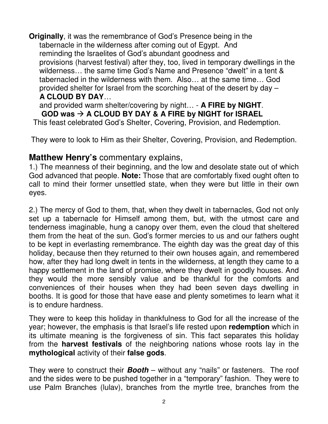**Originally**, it was the remembrance of God's Presence being in the tabernacle in the wilderness after coming out of Egypt. And reminding the Israelites of God's abundant goodness and provisions (harvest festival) after they, too, lived in temporary dwellings in the wilderness… the same time God's Name and Presence "dwelt" in a tent & tabernacled in the wilderness with them. Also… at the same time… God provided shelter for Israel from the scorching heat of the desert by day – **A CLOUD BY DAY**…

 and provided warm shelter/covering by night… - **A FIRE by NIGHT**. **GOD was A CLOUD BY DAY & A FIRE by NIGHT for ISRAEL**

This feast celebrated God's Shelter, Covering, Provision, and Redemption.

They were to look to Him as their Shelter, Covering, Provision, and Redemption.

# **Matthew Henry's** commentary explains,

1.) The meanness of their beginning, and the low and desolate state out of which God advanced that people. **Note:** Those that are comfortably fixed ought often to call to mind their former unsettled state, when they were but little in their own eyes.

2.) The mercy of God to them, that, when they dwelt in tabernacles, God not only set up a tabernacle for Himself among them, but, with the utmost care and tenderness imaginable, hung a canopy over them, even the cloud that sheltered them from the heat of the sun. God's former mercies to us and our fathers ought to be kept in everlasting remembrance. The eighth day was the great day of this holiday, because then they returned to their own houses again, and remembered how, after they had long dwelt in tents in the wilderness, at length they came to a happy settlement in the land of promise, where they dwelt in goodly houses. And they would the more sensibly value and be thankful for the comforts and conveniences of their houses when they had been seven days dwelling in booths. It is good for those that have ease and plenty sometimes to learn what it is to endure hardness.

They were to keep this holiday in thankfulness to God for all the increase of the year; however, the emphasis is that Israel's life rested upon **redemption** which in its ultimate meaning is the forgiveness of sin. This fact separates this holiday from the **harvest festivals** of the neighboring nations whose roots lay in the **mythological** activity of their **false gods**.

They were to construct their **Booth** – without any "nails" or fasteners. The roof and the sides were to be pushed together in a "temporary" fashion. They were to use Palm Branches (lulav), branches from the myrtle tree, branches from the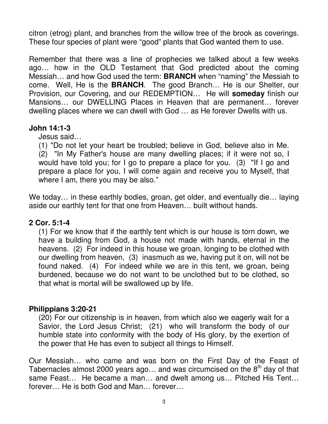citron (etrog) plant, and branches from the willow tree of the brook as coverings. These four species of plant were "good" plants that God wanted them to use.

Remember that there was a line of prophecies we talked about a few weeks ago… how in the OLD Testament that God predicted about the coming Messiah… and how God used the term: **BRANCH** when "naming" the Messiah to come. Well, He is the **BRANCH**. The good Branch… He is our Shelter, our Provision, our Covering, and our REDEMPTION… He will **someday** finish our Mansions… our DWELLING Places in Heaven that are permanent… forever dwelling places where we can dwell with God … as He forever Dwells with us.

## **John 14:1-3**

Jesus said…

(1) "Do not let your heart be troubled; believe in God, believe also in Me. (2) "In My Father's house are many dwelling places; if it were not so, I would have told you; for I go to prepare a place for you. (3) "If I go and prepare a place for you, I will come again and receive you to Myself, that where I am, there you may be also."

We today... in these earthly bodies, groan, get older, and eventually die... laying aside our earthly tent for that one from Heaven… built without hands.

## **2 Cor. 5:1-4**

(1) For we know that if the earthly tent which is our house is torn down, we have a building from God, a house not made with hands, eternal in the heavens. (2) For indeed in this house we groan, longing to be clothed with our dwelling from heaven, (3) inasmuch as we, having put it on, will not be found naked. (4) For indeed while we are in this tent, we groan, being burdened, because we do not want to be unclothed but to be clothed, so that what is mortal will be swallowed up by life.

## **Philippians 3:20-21**

(20) For our citizenship is in heaven, from which also we eagerly wait for a Savior, the Lord Jesus Christ; (21) who will transform the body of our humble state into conformity with the body of His glory, by the exertion of the power that He has even to subject all things to Himself.

Our Messiah… who came and was born on the First Day of the Feast of Tabernacles almost 2000 years ago... and was circumcised on the  $8<sup>th</sup>$  day of that same Feast… He became a man… and dwelt among us… Pitched His Tent… forever… He is both God and Man… forever…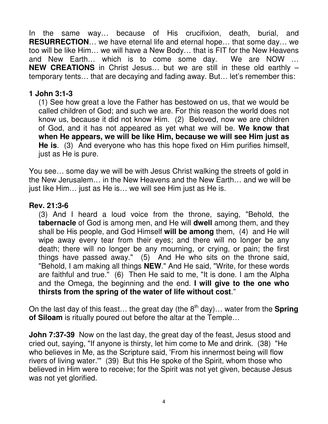In the same way… because of His crucifixion, death, burial, and **RESURRECTION**… we have eternal life and eternal hope… that some day… we too will be like Him… we will have a New Body… that is FIT for the New Heavens and New Earth… which is to come some day. We are NOW … **NEW CREATIONS** in Christ Jesus… but we are still in these old earthly – temporary tents… that are decaying and fading away. But… let's remember this:

### **1 John 3:1-3**

(1) See how great a love the Father has bestowed on us, that we would be called children of God; and such we are. For this reason the world does not know us, because it did not know Him. (2) Beloved, now we are children of God, and it has not appeared as yet what we will be. **We know that when He appears, we will be like Him, because we will see Him just as He is**. (3) And everyone who has this hope fixed on Him purifies himself, just as He is pure.

You see… some day we will be with Jesus Christ walking the streets of gold in the New Jerusalem… in the New Heavens and the New Earth… and we will be just like Him… just as He is… we will see Him just as He is.

## **Rev. 21:3-6**

(3) And I heard a loud voice from the throne, saying, "Behold, the **tabernacle** of God is among men, and He will **dwell** among them, and they shall be His people, and God Himself **will be among** them, (4) and He will wipe away every tear from their eyes; and there will no longer be any death; there will no longer be any mourning, or crying, or pain; the first things have passed away." (5) And He who sits on the throne said, "Behold, I am making all things **NEW**." And He said, "Write, for these words are faithful and true." (6) Then He said to me, "It is done. I am the Alpha and the Omega, the beginning and the end. **I will give to the one who thirsts from the spring of the water of life without cost**."

On the last day of this feast... the great day (the  $8<sup>th</sup>$  day)... water from the **Spring of Siloam** is ritually poured out before the altar at the Temple…

**John 7:37-39** Now on the last day, the great day of the feast, Jesus stood and cried out, saying, "If anyone is thirsty, let him come to Me and drink. (38) "He who believes in Me, as the Scripture said, 'From his innermost being will flow rivers of living water.'" (39) But this He spoke of the Spirit, whom those who believed in Him were to receive; for the Spirit was not yet given, because Jesus was not yet glorified.